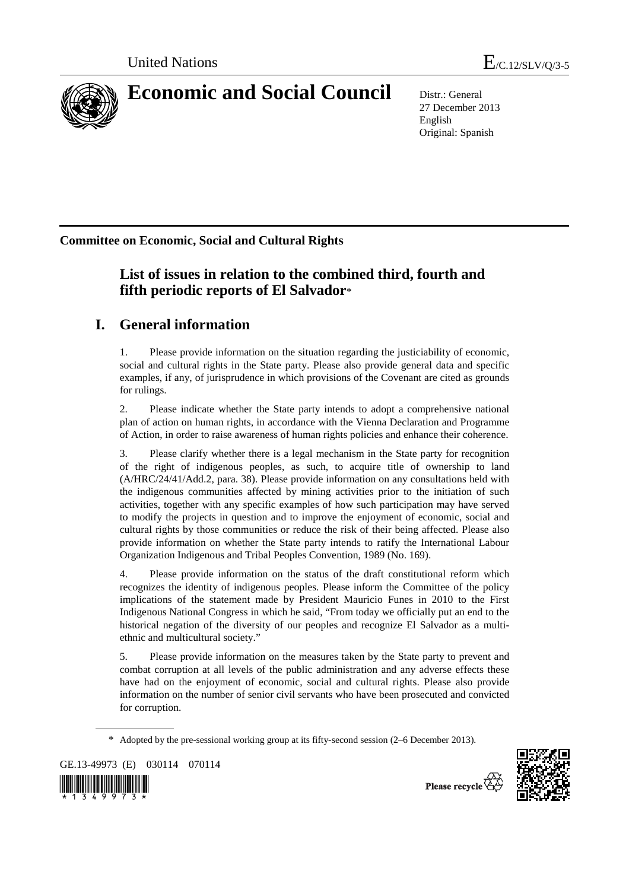

27 December 2013 English Original: Spanish

**Committee on Economic, Social and Cultural Rights** 

# **List of issues in relation to the combined third, fourth and fifth periodic reports of El Salvador**\*

# **I. General information**

1. Please provide information on the situation regarding the justiciability of economic, social and cultural rights in the State party. Please also provide general data and specific examples, if any, of jurisprudence in which provisions of the Covenant are cited as grounds for rulings.

2. Please indicate whether the State party intends to adopt a comprehensive national plan of action on human rights, in accordance with the Vienna Declaration and Programme of Action, in order to raise awareness of human rights policies and enhance their coherence.

3. Please clarify whether there is a legal mechanism in the State party for recognition of the right of indigenous peoples, as such, to acquire title of ownership to land (A/HRC/24/41/Add.2, para. 38). Please provide information on any consultations held with the indigenous communities affected by mining activities prior to the initiation of such activities, together with any specific examples of how such participation may have served to modify the projects in question and to improve the enjoyment of economic, social and cultural rights by those communities or reduce the risk of their being affected. Please also provide information on whether the State party intends to ratify the International Labour Organization Indigenous and Tribal Peoples Convention, 1989 (No. 169).

4. Please provide information on the status of the draft constitutional reform which recognizes the identity of indigenous peoples. Please inform the Committee of the policy implications of the statement made by President Mauricio Funes in 2010 to the First Indigenous National Congress in which he said, "From today we officially put an end to the historical negation of the diversity of our peoples and recognize El Salvador as a multiethnic and multicultural society."

5. Please provide information on the measures taken by the State party to prevent and combat corruption at all levels of the public administration and any adverse effects these have had on the enjoyment of economic, social and cultural rights. Please also provide information on the number of senior civil servants who have been prosecuted and convicted for corruption.

GE.13-49973 (E) 030114 070114





Please recycle  $\vec{\nabla}$ 

<sup>\*</sup> Adopted by the pre-sessional working group at its fifty-second session (2–6 December 2013).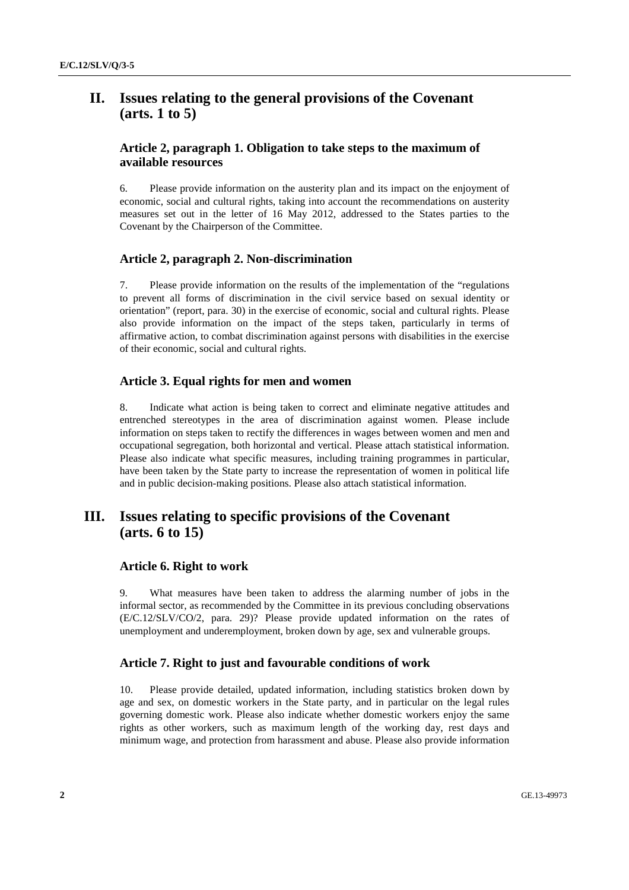## **II. Issues relating to the general provisions of the Covenant (arts. 1 to 5)**

## **Article 2, paragraph 1. Obligation to take steps to the maximum of available resources**

6. Please provide information on the austerity plan and its impact on the enjoyment of economic, social and cultural rights, taking into account the recommendations on austerity measures set out in the letter of 16 May 2012, addressed to the States parties to the Covenant by the Chairperson of the Committee.

## **Article 2, paragraph 2. Non-discrimination**

7. Please provide information on the results of the implementation of the "regulations to prevent all forms of discrimination in the civil service based on sexual identity or orientation" (report, para. 30) in the exercise of economic, social and cultural rights. Please also provide information on the impact of the steps taken, particularly in terms of affirmative action, to combat discrimination against persons with disabilities in the exercise of their economic, social and cultural rights.

#### **Article 3. Equal rights for men and women**

8. Indicate what action is being taken to correct and eliminate negative attitudes and entrenched stereotypes in the area of discrimination against women. Please include information on steps taken to rectify the differences in wages between women and men and occupational segregation, both horizontal and vertical. Please attach statistical information. Please also indicate what specific measures, including training programmes in particular, have been taken by the State party to increase the representation of women in political life and in public decision-making positions. Please also attach statistical information.

## **III. Issues relating to specific provisions of the Covenant (arts. 6 to 15)**

#### **Article 6. Right to work**

9. What measures have been taken to address the alarming number of jobs in the informal sector, as recommended by the Committee in its previous concluding observations (E/C.12/SLV/CO/2, para. 29)? Please provide updated information on the rates of unemployment and underemployment, broken down by age, sex and vulnerable groups.

#### **Article 7. Right to just and favourable conditions of work**

10. Please provide detailed, updated information, including statistics broken down by age and sex, on domestic workers in the State party, and in particular on the legal rules governing domestic work. Please also indicate whether domestic workers enjoy the same rights as other workers, such as maximum length of the working day, rest days and minimum wage, and protection from harassment and abuse. Please also provide information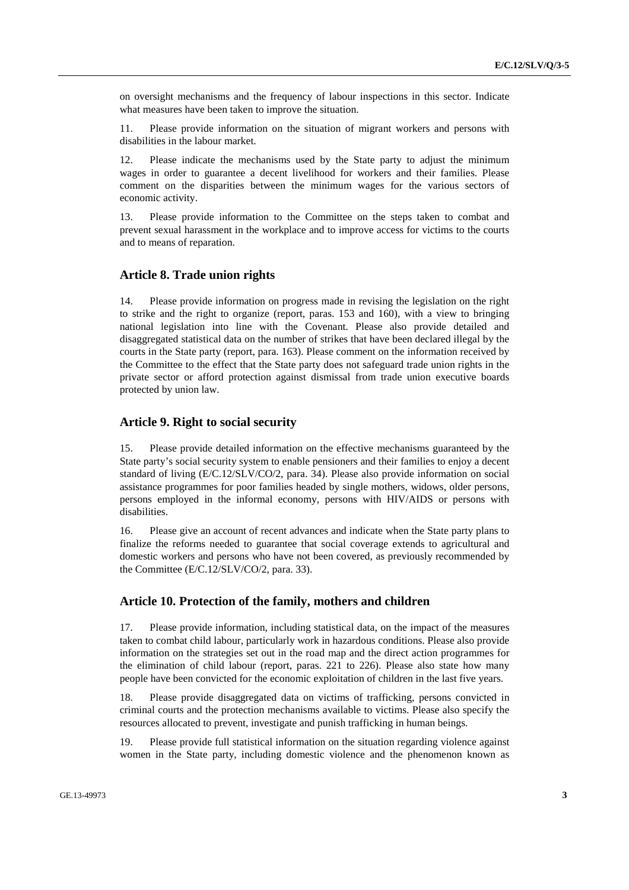on oversight mechanisms and the frequency of labour inspections in this sector. Indicate what measures have been taken to improve the situation.

11. Please provide information on the situation of migrant workers and persons with disabilities in the labour market.

12. Please indicate the mechanisms used by the State party to adjust the minimum wages in order to guarantee a decent livelihood for workers and their families. Please comment on the disparities between the minimum wages for the various sectors of economic activity.

13. Please provide information to the Committee on the steps taken to combat and prevent sexual harassment in the workplace and to improve access for victims to the courts and to means of reparation.

## **Article 8. Trade union rights**

14. Please provide information on progress made in revising the legislation on the right to strike and the right to organize (report, paras. 153 and 160), with a view to bringing national legislation into line with the Covenant. Please also provide detailed and disaggregated statistical data on the number of strikes that have been declared illegal by the courts in the State party (report, para. 163). Please comment on the information received by the Committee to the effect that the State party does not safeguard trade union rights in the private sector or afford protection against dismissal from trade union executive boards protected by union law.

## **Article 9. Right to social security**

15. Please provide detailed information on the effective mechanisms guaranteed by the State party's social security system to enable pensioners and their families to enjoy a decent standard of living (E/C.12/SLV/CO/2, para. 34). Please also provide information on social assistance programmes for poor families headed by single mothers, widows, older persons, persons employed in the informal economy, persons with HIV/AIDS or persons with disabilities.

16. Please give an account of recent advances and indicate when the State party plans to finalize the reforms needed to guarantee that social coverage extends to agricultural and domestic workers and persons who have not been covered, as previously recommended by the Committee (E/C.12/SLV/CO/2, para. 33).

#### **Article 10. Protection of the family, mothers and children**

17. Please provide information, including statistical data, on the impact of the measures taken to combat child labour, particularly work in hazardous conditions. Please also provide information on the strategies set out in the road map and the direct action programmes for the elimination of child labour (report, paras. 221 to 226). Please also state how many people have been convicted for the economic exploitation of children in the last five years.

18. Please provide disaggregated data on victims of trafficking, persons convicted in criminal courts and the protection mechanisms available to victims. Please also specify the resources allocated to prevent, investigate and punish trafficking in human beings.

19. Please provide full statistical information on the situation regarding violence against women in the State party, including domestic violence and the phenomenon known as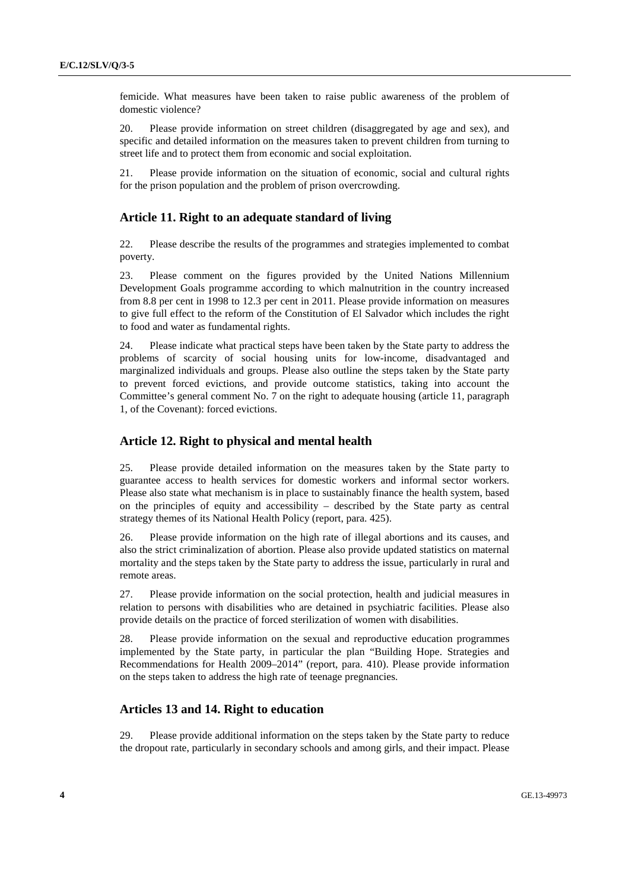femicide. What measures have been taken to raise public awareness of the problem of domestic violence?

20. Please provide information on street children (disaggregated by age and sex), and specific and detailed information on the measures taken to prevent children from turning to street life and to protect them from economic and social exploitation.

21. Please provide information on the situation of economic, social and cultural rights for the prison population and the problem of prison overcrowding.

## **Article 11. Right to an adequate standard of living**

22. Please describe the results of the programmes and strategies implemented to combat poverty.

23. Please comment on the figures provided by the United Nations Millennium Development Goals programme according to which malnutrition in the country increased from 8.8 per cent in 1998 to 12.3 per cent in 2011. Please provide information on measures to give full effect to the reform of the Constitution of El Salvador which includes the right to food and water as fundamental rights.

24. Please indicate what practical steps have been taken by the State party to address the problems of scarcity of social housing units for low-income, disadvantaged and marginalized individuals and groups. Please also outline the steps taken by the State party to prevent forced evictions, and provide outcome statistics, taking into account the Committee's general comment No. 7 on the right to adequate housing (article 11, paragraph 1, of the Covenant): forced evictions.

#### **Article 12. Right to physical and mental health**

25. Please provide detailed information on the measures taken by the State party to guarantee access to health services for domestic workers and informal sector workers. Please also state what mechanism is in place to sustainably finance the health system, based on the principles of equity and accessibility – described by the State party as central strategy themes of its National Health Policy (report, para. 425).

26. Please provide information on the high rate of illegal abortions and its causes, and also the strict criminalization of abortion. Please also provide updated statistics on maternal mortality and the steps taken by the State party to address the issue, particularly in rural and remote areas.

27. Please provide information on the social protection, health and judicial measures in relation to persons with disabilities who are detained in psychiatric facilities. Please also provide details on the practice of forced sterilization of women with disabilities.

28. Please provide information on the sexual and reproductive education programmes implemented by the State party, in particular the plan "Building Hope. Strategies and Recommendations for Health 2009–2014" (report, para. 410). Please provide information on the steps taken to address the high rate of teenage pregnancies.

#### **Articles 13 and 14. Right to education**

29. Please provide additional information on the steps taken by the State party to reduce the dropout rate, particularly in secondary schools and among girls, and their impact. Please